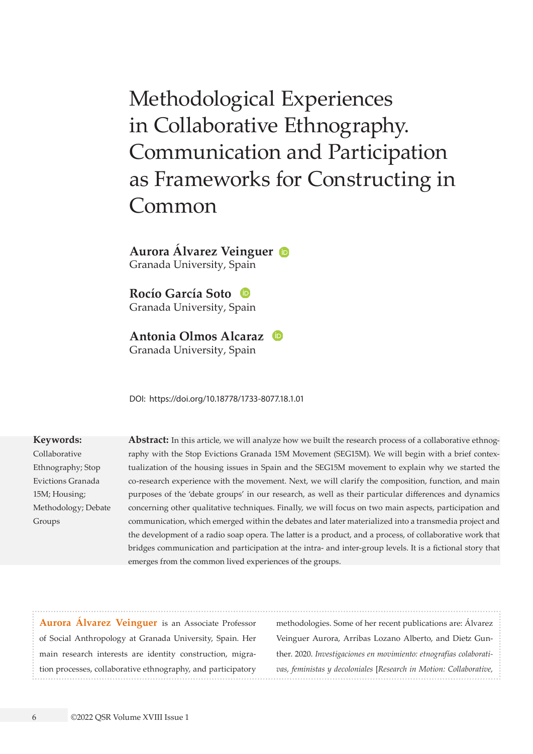Methodological Experiences in Collaborative Ethnography. Communication and Participation as Frameworks for Constructing in Common

**Aurora Álvarez Veinguer**

Granada University, Spain

**Rocío García Soto** Granada University, Spain

**Antonia Olmos Alcaraz** Granada University, Spain

DOI: https://doi.org/10.18778/1733-8077.18.1.01

#### **Keywords:**

Collaborative Ethnography; Stop Evictions Granada 15M; Housing; Methodology; Debate Groups

**Abstract:** In this article, we will analyze how we built the research process of a collaborative ethnography with the Stop Evictions Granada 15M Movement (SEG15M). We will begin with a brief contextualization of the housing issues in Spain and the SEG15M movement to explain why we started the co-research experience with the movement. Next, we will clarify the composition, function, and main purposes of the 'debate groups' in our research, as well as their particular differences and dynamics concerning other qualitative techniques. Finally, we will focus on two main aspects, participation and communication, which emerged within the debates and later materialized into a transmedia project and the development of a radio soap opera. The latter is a product, and a process, of collaborative work that bridges communication and participation at the intra- and inter-group levels. It is a fictional story that emerges from the common lived experiences of the groups.

**Aurora Álvarez Veinguer** is an Associate Professor of Social Anthropology at Granada University, Spain. Her main research interests are identity construction, migration processes, collaborative ethnography, and participatory

methodologies. Some of her recent publications are: Álvarez Veinguer Aurora, Arribas Lozano Alberto, and Dietz Gunther. 2020. *Investigaciones en movimiento: etnografías colaborativas, feministas y decoloniales* [*Research in Motion: Collaborative,*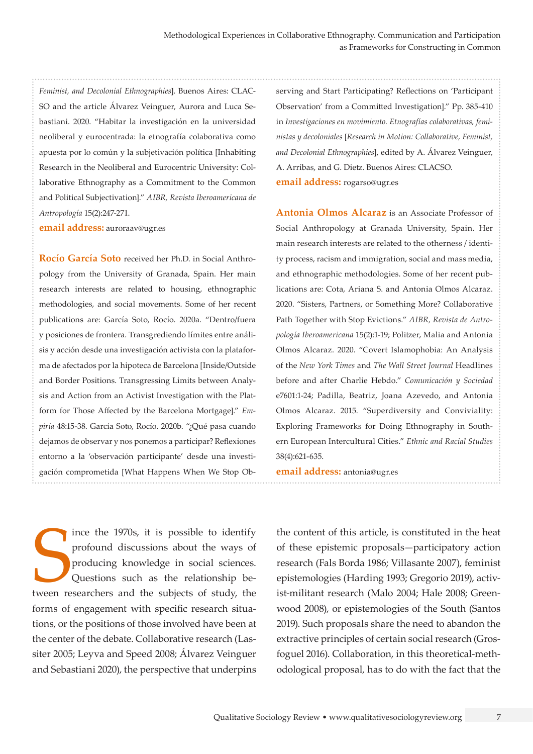*Feminist, and Decolonial Ethnographies*]. Buenos Aires: CLAC-SO and the article Álvarez Veinguer, Aurora and Luca Sebastiani. 2020. "Habitar la investigación en la universidad neoliberal y eurocentrada: la etnografía colaborativa como apuesta por lo común y la subjetivación política [Inhabiting Research in the Neoliberal and Eurocentric University: Collaborative Ethnography as a Commitment to the Common and Political Subjectivation]." *AIBR, Revista Iberoamericana de Antropología* 15(2):247-271.

**email address:** [auroraav@ugr.es](mailto:auroraav@ugr.es)

**Rocío García Soto** received her Ph.D. in Social Anthropology from the University of Granada, Spain. Her main research interests are related to housing, ethnographic methodologies, and social movements. Some of her recent publications are: García Soto, Rocío. 2020a. "Dentro/fuera y posiciones de frontera. Transgrediendo límites entre análisis y acción desde una investigación activista con la plataforma de afectados por la hipoteca de Barcelona [Inside/Outside and Border Positions. Transgressing Limits between Analysis and Action from an Activist Investigation with the Platform for Those Affected by the Barcelona Mortgage]." *Empiria* 48:15-38. García Soto, Rocío. 2020b. "¿Qué pasa cuando dejamos de observar y nos ponemos a participar? Reflexiones entorno a la 'observación participante' desde una investigación comprometida [What Happens When We Stop Observing and Start Participating? Reflections on 'Participant Observation' from a Committed Investigation]." Pp. 385-410 in *Investigaciones en movimiento. Etnografías colaborativas, feministas y decoloniales* [*Research in Motion: Collaborative, Feminist, and Decolonial Ethnographies*], edited by A. Álvarez Veinguer, A. Arribas, and G. Dietz. Buenos Aires: CLACSO. **email address:** [rogarso@ugr.es](mailto:rogarso@ugr.es)

**Antonia Olmos Alcaraz** is an Associate Professor of Social Anthropology at Granada University, Spain. Her main research interests are related to the otherness / identity process, racism and immigration, social and mass media, and ethnographic methodologies. Some of her recent publications are: Cota, Ariana S. and Antonia Olmos Alcaraz. 2020. "Sisters, Partners, or Something More? Collaborative Path Together with Stop Evictions." *AIBR, Revista de Antropología Iberoamericana* 15(2):1-19; Politzer, Malia and Antonia Olmos Alcaraz. 2020. "Covert Islamophobia: An Analysis of the *New York Times* and *The Wall Street Journal* Headlines before and after Charlie Hebdo." *Comunicación y Sociedad* e7601:1-24; Padilla, Beatriz, Joana Azevedo, and Antonia Olmos Alcaraz. 2015. "Superdiversity and Conviviality: Exploring Frameworks for Doing Ethnography in Southern European Intercultural Cities." *Ethnic and Racial Studies* 38(4):621-635.

**email address:** [antonia@ugr.es](mailto:antonia@ugr.es)

Since the 1970s, it is possible to identify profound discussions about the ways of producing knowledge in social sciences. Questions such as the relationship between researchers and the subjects of study, the ince the 1970s, it is possible to identify profound discussions about the ways of producing knowledge in social sciences. Questions such as the relationship beforms of engagement with specific research situations, or the positions of those involved have been at the center of the debate. Collaborative research (Lassiter 2005; Leyva and Speed 2008; Álvarez Veinguer and Sebastiani 2020), the perspective that underpins

the content of this article, is constituted in the heat of these epistemic proposals—participatory action research (Fals Borda 1986; Villasante 2007), feminist epistemologies (Harding 1993; Gregorio 2019), activist-militant research (Malo 2004; Hale 2008; Greenwood 2008), or epistemologies of the South (Santos 2019). Such proposals share the need to abandon the extractive principles of certain social research (Grosfoguel 2016). Collaboration, in this theoretical-methodological proposal, has to do with the fact that the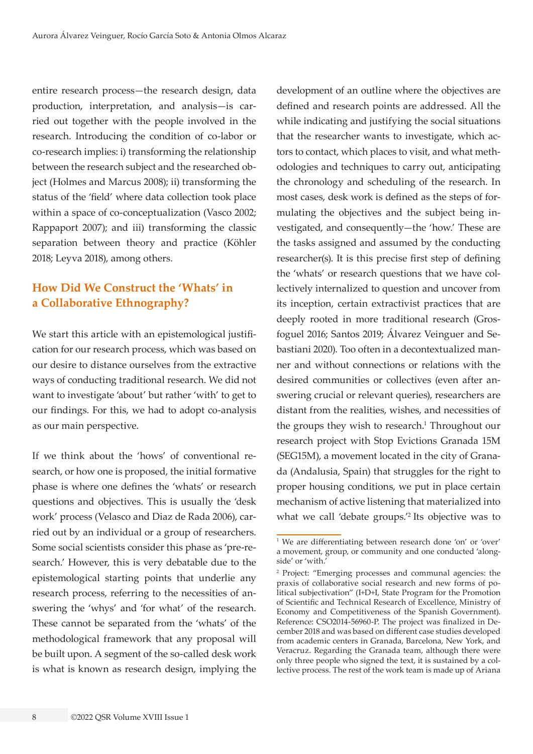entire research process—the research design, data production, interpretation, and analysis—is carried out together with the people involved in the research. Introducing the condition of co-labor or co-research implies: i) transforming the relationship between the research subject and the researched object (Holmes and Marcus 2008); ii) transforming the status of the 'field' where data collection took place within a space of co-conceptualization (Vasco 2002; Rappaport 2007); and iii) transforming the classic separation between theory and practice (Köhler 2018; Leyva 2018), among others.

## **How Did We Construct the 'Whats' in a Collaborative Ethnography?**

We start this article with an epistemological justification for our research process, which was based on our desire to distance ourselves from the extractive ways of conducting traditional research. We did not want to investigate 'about' but rather 'with' to get to our findings. For this, we had to adopt co-analysis as our main perspective.

If we think about the 'hows' of conventional research, or how one is proposed, the initial formative phase is where one defines the 'whats' or research questions and objectives. This is usually the 'desk work' process (Velasco and Diaz de Rada 2006), carried out by an individual or a group of researchers. Some social scientists consider this phase as 'pre-research.' However, this is very debatable due to the epistemological starting points that underlie any research process, referring to the necessities of answering the 'whys' and 'for what' of the research. These cannot be separated from the 'whats' of the methodological framework that any proposal will be built upon. A segment of the so-called desk work is what is known as research design, implying the

development of an outline where the objectives are defined and research points are addressed. All the while indicating and justifying the social situations that the researcher wants to investigate, which actors to contact, which places to visit, and what methodologies and techniques to carry out, anticipating the chronology and scheduling of the research. In most cases, desk work is defined as the steps of formulating the objectives and the subject being investigated, and consequently—the 'how.' These are the tasks assigned and assumed by the conducting researcher(s). It is this precise first step of defining the 'whats' or research questions that we have collectively internalized to question and uncover from its inception, certain extractivist practices that are deeply rooted in more traditional research (Grosfoguel 2016; Santos 2019; Álvarez Veinguer and Sebastiani 2020). Too often in a decontextualized manner and without connections or relations with the desired communities or collectives (even after answering crucial or relevant queries), researchers are distant from the realities, wishes, and necessities of the groups they wish to research.<sup>1</sup> Throughout our research project with Stop Evictions Granada 15M (SEG15M), a movement located in the city of Granada (Andalusia, Spain) that struggles for the right to proper housing conditions, we put in place certain mechanism of active listening that materialized into what we call 'debate groups.'2 Its objective was to

<sup>&</sup>lt;sup>1</sup> We are differentiating between research done 'on' or 'over' a movement, group, or community and one conducted 'alongside' or 'with.'

<sup>2</sup> Project: "Emerging processes and communal agencies: the praxis of collaborative social research and new forms of political subjectivation" (I+D+I, State Program for the Promotion of Scientific and Technical Research of Excellence, Ministry of Economy and Competitiveness of the Spanish Government). Reference: CSO2014-56960-P. The project was finalized in December 2018 and was based on different case studies developed from academic centers in Granada, Barcelona, New York, and Veracruz. Regarding the Granada team, although there were only three people who signed the text, it is sustained by a collective process. The rest of the work team is made up of Ariana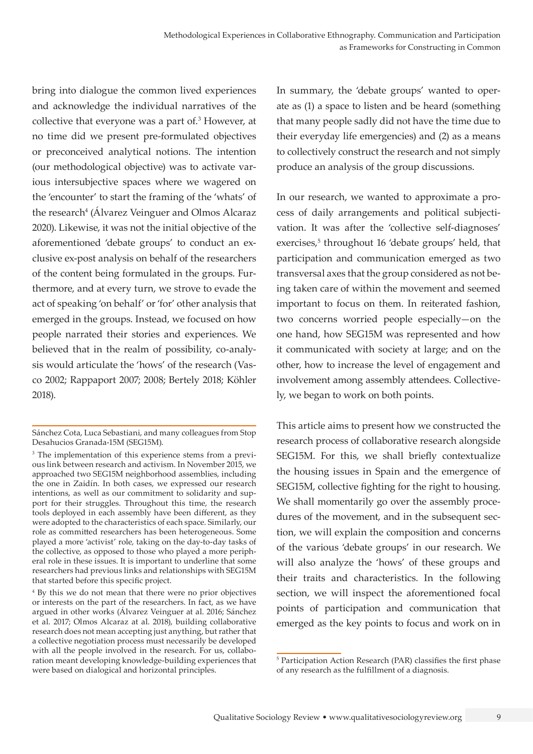bring into dialogue the common lived experiences and acknowledge the individual narratives of the collective that everyone was a part of.3 However, at no time did we present pre-formulated objectives or preconceived analytical notions. The intention (our methodological objective) was to activate various intersubjective spaces where we wagered on the 'encounter' to start the framing of the 'whats' of the research<sup>4</sup> (Álvarez Veinguer and Olmos Alcaraz 2020). Likewise, it was not the initial objective of the aforementioned 'debate groups' to conduct an exclusive ex-post analysis on behalf of the researchers of the content being formulated in the groups. Furthermore, and at every turn, we strove to evade the act of speaking 'on behalf' or 'for' other analysis that emerged in the groups. Instead, we focused on how people narrated their stories and experiences. We believed that in the realm of possibility, co-analysis would articulate the 'hows' of the research (Vasco 2002; Rappaport 2007; 2008; Bertely 2018; Köhler 2018).

In summary, the 'debate groups' wanted to operate as (1) a space to listen and be heard (something that many people sadly did not have the time due to their everyday life emergencies) and (2) as a means to collectively construct the research and not simply produce an analysis of the group discussions.

In our research, we wanted to approximate a process of daily arrangements and political subjectivation. It was after the 'collective self-diagnoses' exercises,<sup>5</sup> throughout 16 'debate groups' held, that participation and communication emerged as two transversal axes that the group considered as not being taken care of within the movement and seemed important to focus on them. In reiterated fashion, two concerns worried people especially—on the one hand, how SEG15M was represented and how it communicated with society at large; and on the other, how to increase the level of engagement and involvement among assembly attendees. Collectively, we began to work on both points.

This article aims to present how we constructed the research process of collaborative research alongside SEG15M. For this, we shall briefly contextualize the housing issues in Spain and the emergence of SEG15M, collective fighting for the right to housing. We shall momentarily go over the assembly procedures of the movement, and in the subsequent section, we will explain the composition and concerns of the various 'debate groups' in our research. We will also analyze the 'hows' of these groups and their traits and characteristics. In the following section, we will inspect the aforementioned focal points of participation and communication that emerged as the key points to focus and work on in

Sánchez Cota, Luca Sebastiani, and many colleagues from Stop Desahucios Granada-15M (SEG15M).

<sup>&</sup>lt;sup>3</sup> The implementation of this experience stems from a previous link between research and activism. In November 2015, we approached two SEG15M neighborhood assemblies, including the one in Zaidín. In both cases, we expressed our research intentions, as well as our commitment to solidarity and support for their struggles. Throughout this time, the research tools deployed in each assembly have been different, as they were adopted to the characteristics of each space. Similarly, our role as committed researchers has been heterogeneous. Some played a more 'activist' role, taking on the day-to-day tasks of the collective, as opposed to those who played a more peripheral role in these issues. It is important to underline that some researchers had previous links and relationships with SEG15M that started before this specific project.

<sup>4</sup> By this we do not mean that there were no prior objectives or interests on the part of the researchers. In fact, as we have argued in other works (Álvarez Veinguer at al. 2016; Sánchez et al. 2017; Olmos Alcaraz at al. 2018), building collaborative research does not mean accepting just anything, but rather that a collective negotiation process must necessarily be developed with all the people involved in the research. For us, collaboration meant developing knowledge-building experiences that were based on dialogical and horizontal principles.

<sup>5</sup> Participation Action Research (PAR) classifies the first phase of any research as the fulfillment of a diagnosis.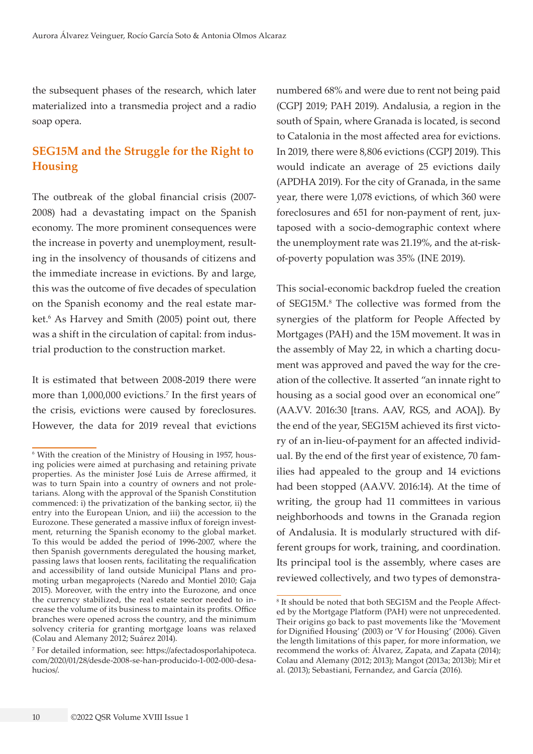the subsequent phases of the research, which later materialized into a transmedia project and a radio soap opera.

# **SEG15M and the Struggle for the Right to Housing**

The outbreak of the global financial crisis (2007- 2008) had a devastating impact on the Spanish economy. The more prominent consequences were the increase in poverty and unemployment, resulting in the insolvency of thousands of citizens and the immediate increase in evictions. By and large, this was the outcome of five decades of speculation on the Spanish economy and the real estate market.<sup>6</sup> As Harvey and Smith (2005) point out, there was a shift in the circulation of capital: from industrial production to the construction market.

It is estimated that between 2008-2019 there were more than 1,000,000 evictions.<sup>7</sup> In the first years of the crisis, evictions were caused by foreclosures. However, the data for 2019 reveal that evictions

numbered 68% and were due to rent not being paid (CGPJ 2019; PAH 2019). Andalusia, a region in the south of Spain, where Granada is located, is second to Catalonia in the most affected area for evictions. In 2019, there were 8,806 evictions (CGPJ 2019). This would indicate an average of 25 evictions daily (APDHA 2019). For the city of Granada, in the same year, there were 1,078 evictions, of which 360 were foreclosures and 651 for non-payment of rent, juxtaposed with a socio-demographic context where the unemployment rate was 21.19%, and the at-riskof-poverty population was 35% (INE 2019).

This social-economic backdrop fueled the creation of SEG15M.<sup>8</sup> The collective was formed from the synergies of the platform for People Affected by Mortgages (PAH) and the 15M movement. It was in the assembly of May 22, in which a charting document was approved and paved the way for the creation of the collective. It asserted "an innate right to housing as a social good over an economical one" (AA.VV. 2016:30 [trans. AAV, RGS, and AOA]). By the end of the year, SEG15M achieved its first victory of an in-lieu-of-payment for an affected individual. By the end of the first year of existence, 70 families had appealed to the group and 14 evictions had been stopped (AA.VV. 2016:14). At the time of writing, the group had 11 committees in various neighborhoods and towns in the Granada region of Andalusia. It is modularly structured with different groups for work, training, and coordination. Its principal tool is the assembly, where cases are reviewed collectively, and two types of demonstra-

<sup>&</sup>lt;sup>6</sup> With the creation of the Ministry of Housing in 1957, housing policies were aimed at purchasing and retaining private properties. As the minister José Luis de Arrese affirmed, it was to turn Spain into a country of owners and not proletarians. Along with the approval of the Spanish Constitution commenced: i) the privatization of the banking sector, ii) the entry into the European Union, and iii) the accession to the Eurozone. These generated a massive influx of foreign investment, returning the Spanish economy to the global market. To this would be added the period of 1996-2007, where the then Spanish governments deregulated the housing market, passing laws that loosen rents, facilitating the requalification and accessibility of land outside Municipal Plans and promoting urban megaprojects (Naredo and Montiel 2010; Gaja 2015). Moreover, with the entry into the Eurozone, and once the currency stabilized, the real estate sector needed to increase the volume of its business to maintain its profits. Office branches were opened across the country, and the minimum solvency criteria for granting mortgage loans was relaxed (Colau and Alemany 2012; Suárez 2014).

<sup>7</sup> For detailed information, see: [https://afectadosporlahipoteca.](https://afectadosporlahipoteca.com/2020/01/28/desde-2008-se-han-producido-1-002-000-desahucios/) [com/2020/01/28/desde-2008-se-han-producido-1-002-000-desa](https://afectadosporlahipoteca.com/2020/01/28/desde-2008-se-han-producido-1-002-000-desahucios/)[hucios/](https://afectadosporlahipoteca.com/2020/01/28/desde-2008-se-han-producido-1-002-000-desahucios/).

<sup>8</sup> It should be noted that both SEG15M and the People Affected by the Mortgage Platform (PAH) were not unprecedented. Their origins go back to past movements like the 'Movement for Dignified Housing' (2003) or 'V for Housing' (2006). Given the length limitations of this paper, for more information, we recommend the works of: Álvarez, Zapata, and Zapata (2014); Colau and Alemany (2012; 2013); Mangot (2013a; 2013b); Mir et al. (2013); Sebastiani, Fernandez, and García (2016).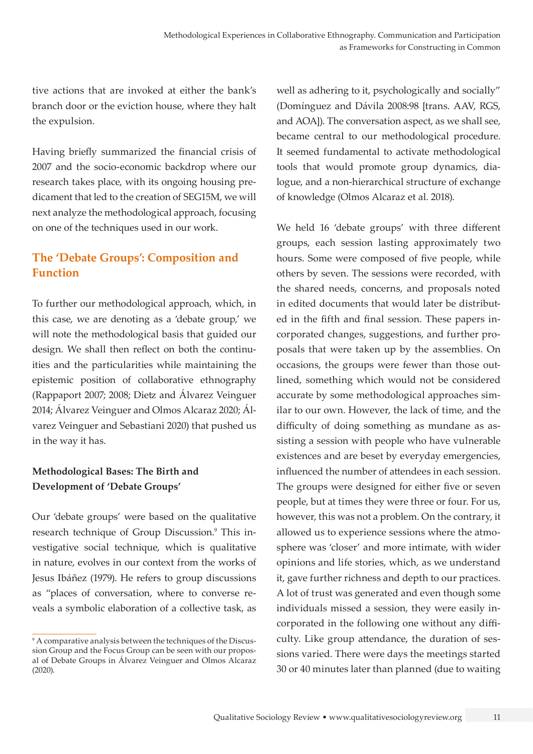tive actions that are invoked at either the bank's branch door or the eviction house, where they halt the expulsion.

Having briefly summarized the financial crisis of 2007 and the socio-economic backdrop where our research takes place, with its ongoing housing predicament that led to the creation of SEG15M, we will next analyze the methodological approach, focusing on one of the techniques used in our work.

# **The 'Debate Groups': Composition and Function**

To further our methodological approach, which, in this case, we are denoting as a 'debate group,' we will note the methodological basis that guided our design. We shall then reflect on both the continuities and the particularities while maintaining the epistemic position of collaborative ethnography (Rappaport 2007; 2008; Dietz and Álvarez Veinguer 2014; Álvarez Veinguer and Olmos Alcaraz 2020; Álvarez Veinguer and Sebastiani 2020) that pushed us in the way it has.

# **Methodological Bases: The Birth and Development of 'Debate Groups'**

Our 'debate groups' were based on the qualitative research technique of Group Discussion.<sup>9</sup> This investigative social technique, which is qualitative in nature, evolves in our context from the works of Jesus Ibáñez (1979). He refers to group discussions as "places of conversation, where to converse reveals a symbolic elaboration of a collective task, as

well as adhering to it, psychologically and socially" (Domínguez and Dávila 2008:98 [trans. AAV, RGS, and AOA]). The conversation aspect, as we shall see, became central to our methodological procedure. It seemed fundamental to activate methodological tools that would promote group dynamics, dialogue, and a non-hierarchical structure of exchange of knowledge (Olmos Alcaraz et al. 2018).

We held 16 'debate groups' with three different groups, each session lasting approximately two hours. Some were composed of five people, while others by seven. The sessions were recorded, with the shared needs, concerns, and proposals noted in edited documents that would later be distributed in the fifth and final session. These papers incorporated changes, suggestions, and further proposals that were taken up by the assemblies. On occasions, the groups were fewer than those outlined, something which would not be considered accurate by some methodological approaches similar to our own. However, the lack of time, and the difficulty of doing something as mundane as assisting a session with people who have vulnerable existences and are beset by everyday emergencies, influenced the number of attendees in each session. The groups were designed for either five or seven people, but at times they were three or four. For us, however, this was not a problem. On the contrary, it allowed us to experience sessions where the atmosphere was 'closer' and more intimate, with wider opinions and life stories, which, as we understand it, gave further richness and depth to our practices. A lot of trust was generated and even though some individuals missed a session, they were easily incorporated in the following one without any difficulty. Like group attendance, the duration of sessions varied. There were days the meetings started 30 or 40 minutes later than planned (due to waiting

<sup>&</sup>lt;sup>9</sup> A comparative analysis between the techniques of the Discussion Group and the Focus Group can be seen with our proposal of Debate Groups in Álvarez Veinguer and Olmos Alcaraz (2020).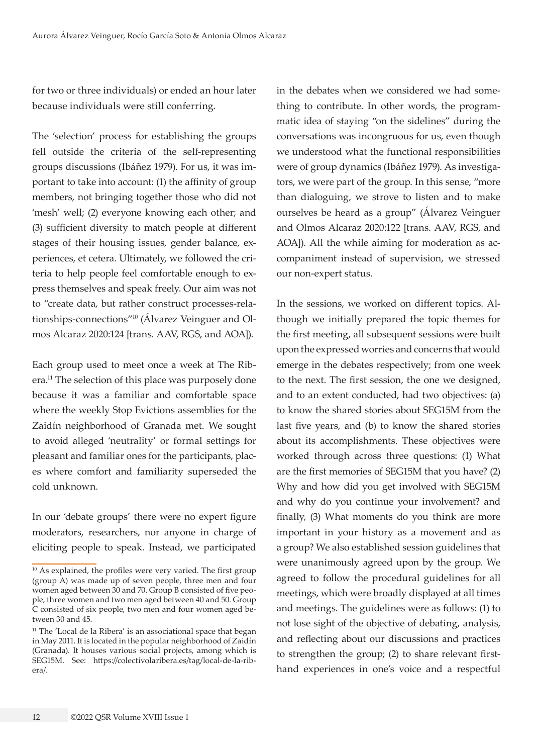for two or three individuals) or ended an hour later because individuals were still conferring.

The 'selection' process for establishing the groups fell outside the criteria of the self-representing groups discussions (Ibáñez 1979). For us, it was important to take into account: (1) the affinity of group members, not bringing together those who did not 'mesh' well; (2) everyone knowing each other; and (3) sufficient diversity to match people at different stages of their housing issues, gender balance, experiences, et cetera. Ultimately, we followed the criteria to help people feel comfortable enough to express themselves and speak freely. Our aim was not to "create data, but rather construct processes-relationships-connections"10 (Álvarez Veinguer and Olmos Alcaraz 2020:124 [trans. AAV, RGS, and AOA]).

Each group used to meet once a week at The Ribera.11 The selection of this place was purposely done because it was a familiar and comfortable space where the weekly Stop Evictions assemblies for the Zaidín neighborhood of Granada met. We sought to avoid alleged 'neutrality' or formal settings for pleasant and familiar ones for the participants, places where comfort and familiarity superseded the cold unknown.

In our 'debate groups' there were no expert figure moderators, researchers, nor anyone in charge of eliciting people to speak. Instead, we participated

in the debates when we considered we had something to contribute. In other words, the programmatic idea of staying "on the sidelines" during the conversations was incongruous for us, even though we understood what the functional responsibilities were of group dynamics (Ibáñez 1979). As investigators, we were part of the group. In this sense, "more than dialoguing, we strove to listen and to make ourselves be heard as a group" (Álvarez Veinguer and Olmos Alcaraz 2020:122 [trans. AAV, RGS, and AOA]). All the while aiming for moderation as accompaniment instead of supervision, we stressed our non-expert status.

In the sessions, we worked on different topics. Although we initially prepared the topic themes for the first meeting, all subsequent sessions were built upon the expressed worries and concerns that would emerge in the debates respectively; from one week to the next. The first session, the one we designed, and to an extent conducted, had two objectives: (a) to know the shared stories about SEG15M from the last five years, and (b) to know the shared stories about its accomplishments. These objectives were worked through across three questions: (1) What are the first memories of SEG15M that you have? (2) Why and how did you get involved with SEG15M and why do you continue your involvement? and finally, (3) What moments do you think are more important in your history as a movement and as a group? We also established session guidelines that were unanimously agreed upon by the group. We agreed to follow the procedural guidelines for all meetings, which were broadly displayed at all times and meetings. The guidelines were as follows: (1) to not lose sight of the objective of debating, analysis, and reflecting about our discussions and practices to strengthen the group; (2) to share relevant firsthand experiences in one's voice and a respectful

<sup>&</sup>lt;sup>10</sup> As explained, the profiles were very varied. The first group (group A) was made up of seven people, three men and four women aged between 30 and 70. Group B consisted of five people, three women and two men aged between 40 and 50. Group C consisted of six people, two men and four women aged between 30 and 45.

 $11$  The 'Local de la Ribera' is an associational space that began in May 2011. It is located in the popular neighborhood of Zaidín (Granada). It houses various social projects, among which is SEG15M. See: [https://colectivolaribera.es/tag/local-de-la-rib](https://colectivolaribera.es/tag/local-de-la-ribera/)[era/.](https://colectivolaribera.es/tag/local-de-la-ribera/)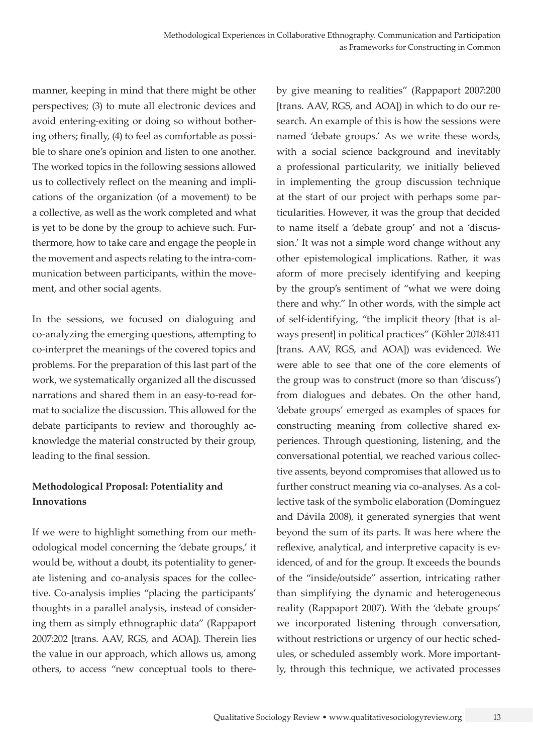manner, keeping in mind that there might be other perspectives; (3) to mute all electronic devices and avoid entering-exiting or doing so without bothering others; finally, (4) to feel as comfortable as possible to share one's opinion and listen to one another. The worked topics in the following sessions allowed us to collectively reflect on the meaning and implications of the organization (of a movement) to be a collective, as well as the work completed and what is yet to be done by the group to achieve such. Furthermore, how to take care and engage the people in the movement and aspects relating to the intra-communication between participants, within the movement, and other social agents.

In the sessions, we focused on dialoguing and co-analyzing the emerging questions, attempting to co-interpret the meanings of the covered topics and problems. For the preparation of this last part of the work, we systematically organized all the discussed narrations and shared them in an easy-to-read format to socialize the discussion. This allowed for the debate participants to review and thoroughly acknowledge the material constructed by their group, leading to the final session.

## **Methodological Proposal: Potentiality and Innovations**

If we were to highlight something from our methodological model concerning the 'debate groups,' it would be, without a doubt, its potentiality to generate listening and co-analysis spaces for the collective. Co-analysis implies "placing the participants' thoughts in a parallel analysis, instead of considering them as simply ethnographic data" (Rappaport 2007:202 [trans. AAV, RGS, and AOA]). Therein lies the value in our approach, which allows us, among others, to access "new conceptual tools to thereby give meaning to realities" (Rappaport 2007:200 [trans. AAV, RGS, and AOA]) in which to do our research. An example of this is how the sessions were named 'debate groups.' As we write these words, with a social science background and inevitably a professional particularity, we initially believed in implementing the group discussion technique at the start of our project with perhaps some particularities. However, it was the group that decided to name itself a 'debate group' and not a 'discussion.' It was not a simple word change without any other epistemological implications. Rather, it was aform of more precisely identifying and keeping by the group's sentiment of "what we were doing there and why." In other words, with the simple act of self-identifying, "the implicit theory [that is always present] in political practices" (Köhler 2018:411 [trans. AAV, RGS, and AOA]) was evidenced. We were able to see that one of the core elements of the group was to construct (more so than 'discuss') from dialogues and debates. On the other hand, 'debate groups' emerged as examples of spaces for constructing meaning from collective shared experiences. Through questioning, listening, and the conversational potential, we reached various collective assents, beyond compromises that allowed us to further construct meaning via co-analyses. As a collective task of the symbolic elaboration (Domínguez and Dávila 2008), it generated synergies that went beyond the sum of its parts. It was here where the reflexive, analytical, and interpretive capacity is evidenced, of and for the group. It exceeds the bounds of the "inside/outside" assertion, intricating rather than simplifying the dynamic and heterogeneous reality (Rappaport 2007). With the 'debate groups' we incorporated listening through conversation, without restrictions or urgency of our hectic schedules, or scheduled assembly work. More importantly, through this technique, we activated processes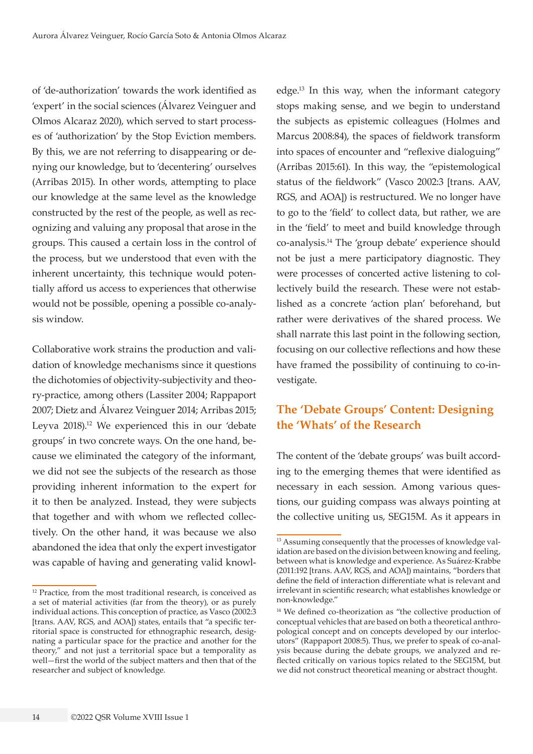of 'de-authorization' towards the work identified as 'expert' in the social sciences (Álvarez Veinguer and Olmos Alcaraz 2020), which served to start processes of 'authorization' by the Stop Eviction members. By this, we are not referring to disappearing or denying our knowledge, but to 'decentering' ourselves (Arribas 2015). In other words, attempting to place our knowledge at the same level as the knowledge constructed by the rest of the people, as well as recognizing and valuing any proposal that arose in the groups. This caused a certain loss in the control of the process, but we understood that even with the inherent uncertainty, this technique would potentially afford us access to experiences that otherwise would not be possible, opening a possible co-analysis window.

Collaborative work strains the production and validation of knowledge mechanisms since it questions the dichotomies of objectivity-subjectivity and theory-practice, among others (Lassiter 2004; Rappaport 2007; Dietz and Álvarez Veinguer 2014; Arribas 2015; Leyva 2018).12 We experienced this in our 'debate groups' in two concrete ways. On the one hand, because we eliminated the category of the informant, we did not see the subjects of the research as those providing inherent information to the expert for it to then be analyzed. Instead, they were subjects that together and with whom we reflected collectively. On the other hand, it was because we also abandoned the idea that only the expert investigator was capable of having and generating valid knowledge.13 In this way, when the informant category stops making sense, and we begin to understand the subjects as epistemic colleagues (Holmes and Marcus 2008:84), the spaces of fieldwork transform into spaces of encounter and "reflexive dialoguing" (Arribas 2015:61). In this way, the "epistemological status of the fieldwork" (Vasco 2002:3 [trans. AAV, RGS, and AOA]) is restructured. We no longer have to go to the 'field' to collect data, but rather, we are in the 'field' to meet and build knowledge through co-analysis.14 The 'group debate' experience should not be just a mere participatory diagnostic. They were processes of concerted active listening to collectively build the research. These were not established as a concrete 'action plan' beforehand, but rather were derivatives of the shared process. We shall narrate this last point in the following section, focusing on our collective reflections and how these have framed the possibility of continuing to co-investigate.

## **The 'Debate Groups' Content: Designing the 'Whats' of the Research**

The content of the 'debate groups' was built according to the emerging themes that were identified as necessary in each session. Among various questions, our guiding compass was always pointing at the collective uniting us, SEG15M. As it appears in

<sup>&</sup>lt;sup>12</sup> Practice, from the most traditional research, is conceived as a set of material activities (far from the theory), or as purely individual actions. This conception of practice, as Vasco (2002:3 [trans. AAV, RGS, and AOA]) states, entails that "a specific territorial space is constructed for ethnographic research, designating a particular space for the practice and another for the theory," and not just a territorial space but a temporality as well—first the world of the subject matters and then that of the researcher and subject of knowledge.

<sup>&</sup>lt;sup>13</sup> Assuming consequently that the processes of knowledge validation are based on the division between knowing and feeling, between what is knowledge and experience. As Suárez-Krabbe (2011:192 [trans. AAV, RGS, and AOA]) maintains, "borders that define the field of interaction differentiate what is relevant and irrelevant in scientific research; what establishes knowledge or non-knowledge."

<sup>&</sup>lt;sup>14</sup> We defined co-theorization as "the collective production of conceptual vehicles that are based on both a theoretical anthropological concept and on concepts developed by our interlocutors" (Rappaport 2008:5). Thus, we prefer to speak of co-analysis because during the debate groups, we analyzed and reflected critically on various topics related to the SEG15M, but we did not construct theoretical meaning or abstract thought.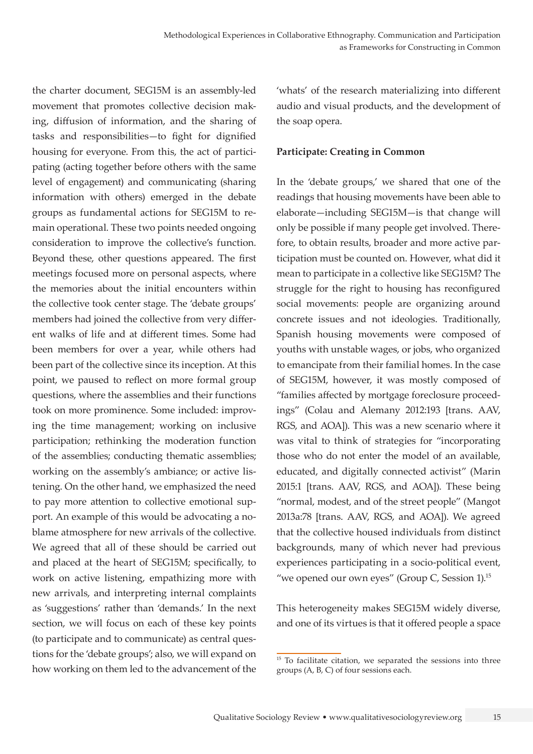the charter document, SEG15M is an assembly-led movement that promotes collective decision making, diffusion of information, and the sharing of tasks and responsibilities—to fight for dignified housing for everyone. From this, the act of participating (acting together before others with the same level of engagement) and communicating (sharing information with others) emerged in the debate groups as fundamental actions for SEG15M to remain operational. These two points needed ongoing consideration to improve the collective's function. Beyond these, other questions appeared. The first meetings focused more on personal aspects, where the memories about the initial encounters within the collective took center stage. The 'debate groups' members had joined the collective from very different walks of life and at different times. Some had been members for over a year, while others had been part of the collective since its inception. At this point, we paused to reflect on more formal group questions, where the assemblies and their functions took on more prominence. Some included: improving the time management; working on inclusive participation; rethinking the moderation function of the assemblies; conducting thematic assemblies; working on the assembly's ambiance; or active listening. On the other hand, we emphasized the need to pay more attention to collective emotional support. An example of this would be advocating a noblame atmosphere for new arrivals of the collective. We agreed that all of these should be carried out and placed at the heart of SEG15M; specifically, to work on active listening, empathizing more with new arrivals, and interpreting internal complaints as 'suggestions' rather than 'demands.' In the next section, we will focus on each of these key points (to participate and to communicate) as central questions for the 'debate groups'; also, we will expand on how working on them led to the advancement of the 'whats' of the research materializing into different audio and visual products, and the development of the soap opera.

#### **Participate: Creating in Common**

In the 'debate groups,' we shared that one of the readings that housing movements have been able to elaborate—including SEG15M—is that change will only be possible if many people get involved. Therefore, to obtain results, broader and more active participation must be counted on. However, what did it mean to participate in a collective like SEG15M? The struggle for the right to housing has reconfigured social movements: people are organizing around concrete issues and not ideologies. Traditionally, Spanish housing movements were composed of youths with unstable wages, or jobs, who organized to emancipate from their familial homes. In the case of SEG15M, however, it was mostly composed of "families affected by mortgage foreclosure proceedings" (Colau and Alemany 2012:193 [trans. AAV, RGS, and AOA]). This was a new scenario where it was vital to think of strategies for "incorporating those who do not enter the model of an available, educated, and digitally connected activist" (Marin 2015:1 [trans. AAV, RGS, and AOA]). These being "normal, modest, and of the street people" (Mangot 2013a:78 [trans. AAV, RGS, and AOA]). We agreed that the collective housed individuals from distinct backgrounds, many of which never had previous experiences participating in a socio-political event, "we opened our own eyes" (Group C, Session 1).<sup>15</sup>

This heterogeneity makes SEG15M widely diverse, and one of its virtues is that it offered people a space

<sup>&</sup>lt;sup>15</sup> To facilitate citation, we separated the sessions into three groups (A, B, C) of four sessions each.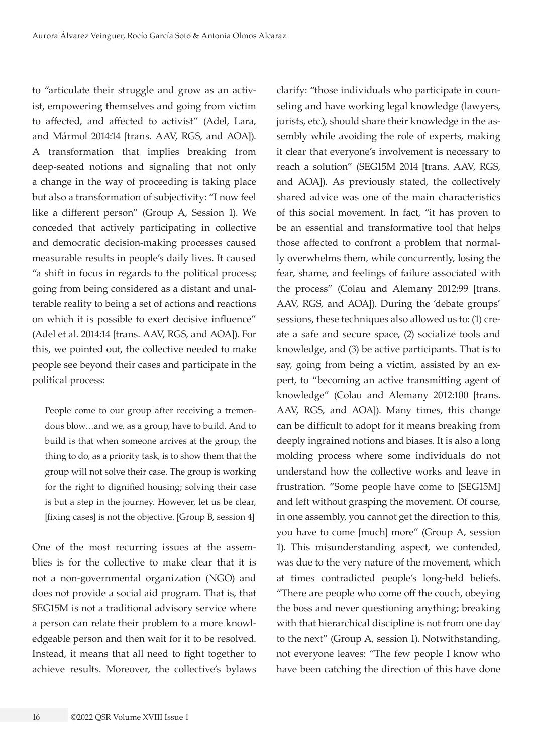to "articulate their struggle and grow as an activist, empowering themselves and going from victim to affected, and affected to activist" (Adel, Lara, and Mármol 2014:14 [trans. AAV, RGS, and AOA]). A transformation that implies breaking from deep-seated notions and signaling that not only a change in the way of proceeding is taking place but also a transformation of subjectivity: "I now feel like a different person" (Group A, Session 1). We conceded that actively participating in collective and democratic decision-making processes caused measurable results in people's daily lives. It caused "a shift in focus in regards to the political process; going from being considered as a distant and unalterable reality to being a set of actions and reactions on which it is possible to exert decisive influence" (Adel et al. 2014:14 [trans. AAV, RGS, and AOA]). For this, we pointed out, the collective needed to make people see beyond their cases and participate in the political process:

People come to our group after receiving a tremendous blow…and we, as a group, have to build. And to build is that when someone arrives at the group, the thing to do, as a priority task, is to show them that the group will not solve their case. The group is working for the right to dignified housing; solving their case is but a step in the journey. However, let us be clear, [fixing cases] is not the objective. [Group B, session 4]

One of the most recurring issues at the assemblies is for the collective to make clear that it is not a non-governmental organization (NGO) and does not provide a social aid program. That is, that SEG15M is not a traditional advisory service where a person can relate their problem to a more knowledgeable person and then wait for it to be resolved. Instead, it means that all need to fight together to achieve results. Moreover, the collective's bylaws clarify: "those individuals who participate in counseling and have working legal knowledge (lawyers, jurists, etc.), should share their knowledge in the assembly while avoiding the role of experts, making it clear that everyone's involvement is necessary to reach a solution" (SEG15M 2014 [trans. AAV, RGS, and AOA]). As previously stated, the collectively shared advice was one of the main characteristics of this social movement. In fact, "it has proven to be an essential and transformative tool that helps those affected to confront a problem that normally overwhelms them, while concurrently, losing the fear, shame, and feelings of failure associated with the process" (Colau and Alemany 2012:99 [trans. AAV, RGS, and AOA]). During the 'debate groups' sessions, these techniques also allowed us to: (1) create a safe and secure space, (2) socialize tools and knowledge, and (3) be active participants. That is to say, going from being a victim, assisted by an expert, to "becoming an active transmitting agent of knowledge" (Colau and Alemany 2012:100 [trans. AAV, RGS, and AOA]). Many times, this change can be difficult to adopt for it means breaking from deeply ingrained notions and biases. It is also a long molding process where some individuals do not understand how the collective works and leave in frustration. "Some people have come to [SEG15M] and left without grasping the movement. Of course, in one assembly, you cannot get the direction to this, you have to come [much] more" (Group A, session 1). This misunderstanding aspect, we contended, was due to the very nature of the movement, which at times contradicted people's long-held beliefs. "There are people who come off the couch, obeying the boss and never questioning anything; breaking with that hierarchical discipline is not from one day to the next" (Group A, session 1). Notwithstanding, not everyone leaves: "The few people I know who have been catching the direction of this have done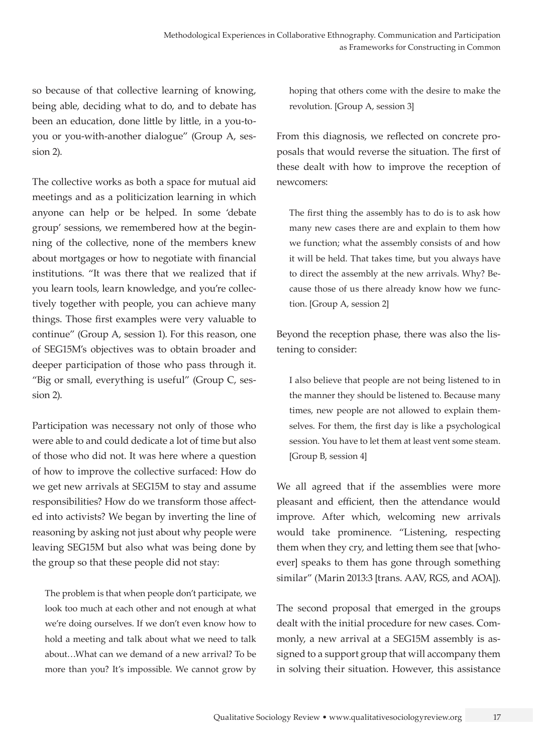so because of that collective learning of knowing, being able, deciding what to do, and to debate has been an education, done little by little, in a you-toyou or you-with-another dialogue" (Group A, session 2).

The collective works as both a space for mutual aid meetings and as a politicization learning in which anyone can help or be helped. In some 'debate group' sessions, we remembered how at the beginning of the collective, none of the members knew about mortgages or how to negotiate with financial institutions. "It was there that we realized that if you learn tools, learn knowledge, and you're collectively together with people, you can achieve many things. Those first examples were very valuable to continue" (Group A, session 1). For this reason, one of SEG15M's objectives was to obtain broader and deeper participation of those who pass through it. "Big or small, everything is useful" (Group C, session 2).

Participation was necessary not only of those who were able to and could dedicate a lot of time but also of those who did not. It was here where a question of how to improve the collective surfaced: How do we get new arrivals at SEG15M to stay and assume responsibilities? How do we transform those affected into activists? We began by inverting the line of reasoning by asking not just about why people were leaving SEG15M but also what was being done by the group so that these people did not stay:

The problem is that when people don't participate, we look too much at each other and not enough at what we're doing ourselves. If we don't even know how to hold a meeting and talk about what we need to talk about…What can we demand of a new arrival? To be more than you? It's impossible. We cannot grow by hoping that others come with the desire to make the revolution. [Group A, session 3]

From this diagnosis, we reflected on concrete proposals that would reverse the situation. The first of these dealt with how to improve the reception of newcomers:

The first thing the assembly has to do is to ask how many new cases there are and explain to them how we function; what the assembly consists of and how it will be held. That takes time, but you always have to direct the assembly at the new arrivals. Why? Because those of us there already know how we function. [Group A, session 2]

Beyond the reception phase, there was also the listening to consider:

I also believe that people are not being listened to in the manner they should be listened to. Because many times, new people are not allowed to explain themselves. For them, the first day is like a psychological session. You have to let them at least vent some steam. [Group B, session 4]

We all agreed that if the assemblies were more pleasant and efficient, then the attendance would improve. After which, welcoming new arrivals would take prominence. "Listening, respecting them when they cry, and letting them see that [whoever] speaks to them has gone through something similar" (Marin 2013:3 [trans. AAV, RGS, and AOA]).

The second proposal that emerged in the groups dealt with the initial procedure for new cases. Commonly, a new arrival at a SEG15M assembly is assigned to a support group that will accompany them in solving their situation. However, this assistance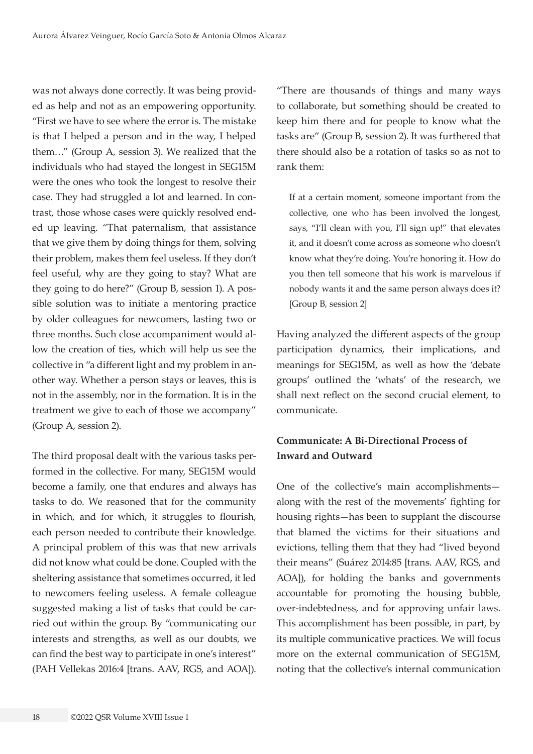was not always done correctly. It was being provided as help and not as an empowering opportunity. "First we have to see where the error is. The mistake is that I helped a person and in the way, I helped them…" (Group A, session 3). We realized that the individuals who had stayed the longest in SEG15M were the ones who took the longest to resolve their case. They had struggled a lot and learned. In contrast, those whose cases were quickly resolved ended up leaving. "That paternalism, that assistance that we give them by doing things for them, solving their problem, makes them feel useless. If they don't feel useful, why are they going to stay? What are they going to do here?" (Group B, session 1). A possible solution was to initiate a mentoring practice by older colleagues for newcomers, lasting two or three months. Such close accompaniment would allow the creation of ties, which will help us see the collective in "a different light and my problem in another way. Whether a person stays or leaves, this is not in the assembly, nor in the formation. It is in the treatment we give to each of those we accompany" (Group A, session 2).

The third proposal dealt with the various tasks performed in the collective. For many, SEG15M would become a family, one that endures and always has tasks to do. We reasoned that for the community in which, and for which, it struggles to flourish, each person needed to contribute their knowledge. A principal problem of this was that new arrivals did not know what could be done. Coupled with the sheltering assistance that sometimes occurred, it led to newcomers feeling useless. A female colleague suggested making a list of tasks that could be carried out within the group. By "communicating our interests and strengths, as well as our doubts, we can find the best way to participate in one's interest" (PAH Vellekas 2016:4 [trans. AAV, RGS, and AOA]).

"There are thousands of things and many ways to collaborate, but something should be created to keep him there and for people to know what the tasks are" (Group B, session 2). It was furthered that there should also be a rotation of tasks so as not to rank them:

If at a certain moment, someone important from the collective, one who has been involved the longest, says, "I'll clean with you, I'll sign up!" that elevates it, and it doesn't come across as someone who doesn't know what they're doing. You're honoring it. How do you then tell someone that his work is marvelous if nobody wants it and the same person always does it? [Group B, session 2]

Having analyzed the different aspects of the group participation dynamics, their implications, and meanings for SEG15M, as well as how the 'debate groups' outlined the 'whats' of the research, we shall next reflect on the second crucial element, to communicate.

### **Communicate: A Bi-Directional Process of Inward and Outward**

One of the collective's main accomplishments along with the rest of the movements' fighting for housing rights—has been to supplant the discourse that blamed the victims for their situations and evictions, telling them that they had "lived beyond their means" (Suárez 2014:85 [trans. AAV, RGS, and AOA]), for holding the banks and governments accountable for promoting the housing bubble, over-indebtedness, and for approving unfair laws. This accomplishment has been possible, in part, by its multiple communicative practices. We will focus more on the external communication of SEG15M, noting that the collective's internal communication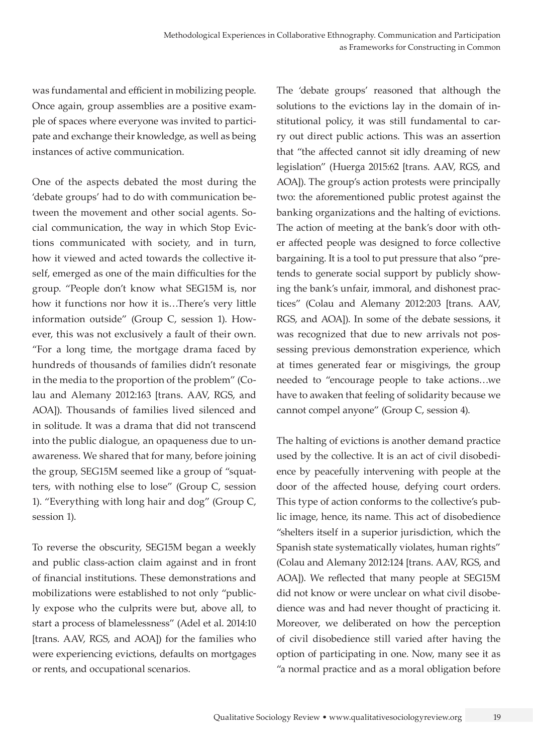was fundamental and efficient in mobilizing people. Once again, group assemblies are a positive example of spaces where everyone was invited to participate and exchange their knowledge, as well as being instances of active communication.

One of the aspects debated the most during the 'debate groups' had to do with communication between the movement and other social agents. Social communication, the way in which Stop Evictions communicated with society, and in turn, how it viewed and acted towards the collective itself, emerged as one of the main difficulties for the group. "People don't know what SEG15M is, nor how it functions nor how it is…There's very little information outside" (Group C, session 1). However, this was not exclusively a fault of their own. "For a long time, the mortgage drama faced by hundreds of thousands of families didn't resonate in the media to the proportion of the problem" (Colau and Alemany 2012:163 [trans. AAV, RGS, and AOA]). Thousands of families lived silenced and in solitude. It was a drama that did not transcend into the public dialogue, an opaqueness due to unawareness. We shared that for many, before joining the group, SEG15M seemed like a group of "squatters, with nothing else to lose" (Group C, session 1). "Everything with long hair and dog" (Group C, session 1).

To reverse the obscurity, SEG15M began a weekly and public class-action claim against and in front of financial institutions. These demonstrations and mobilizations were established to not only "publicly expose who the culprits were but, above all, to start a process of blamelessness" (Adel et al. 2014:10 [trans. AAV, RGS, and AOA]) for the families who were experiencing evictions, defaults on mortgages or rents, and occupational scenarios.

The 'debate groups' reasoned that although the solutions to the evictions lay in the domain of institutional policy, it was still fundamental to carry out direct public actions. This was an assertion that "the affected cannot sit idly dreaming of new legislation" (Huerga 2015:62 [trans. AAV, RGS, and AOA]). The group's action protests were principally two: the aforementioned public protest against the banking organizations and the halting of evictions. The action of meeting at the bank's door with other affected people was designed to force collective bargaining. It is a tool to put pressure that also "pretends to generate social support by publicly showing the bank's unfair, immoral, and dishonest practices" (Colau and Alemany 2012:203 [trans. AAV, RGS, and AOA]). In some of the debate sessions, it was recognized that due to new arrivals not possessing previous demonstration experience, which at times generated fear or misgivings, the group needed to "encourage people to take actions…we have to awaken that feeling of solidarity because we cannot compel anyone" (Group C, session 4).

The halting of evictions is another demand practice used by the collective. It is an act of civil disobedience by peacefully intervening with people at the door of the affected house, defying court orders. This type of action conforms to the collective's public image, hence, its name. This act of disobedience "shelters itself in a superior jurisdiction, which the Spanish state systematically violates, human rights" (Colau and Alemany 2012:124 [trans. AAV, RGS, and AOA]). We reflected that many people at SEG15M did not know or were unclear on what civil disobedience was and had never thought of practicing it. Moreover, we deliberated on how the perception of civil disobedience still varied after having the option of participating in one. Now, many see it as "a normal practice and as a moral obligation before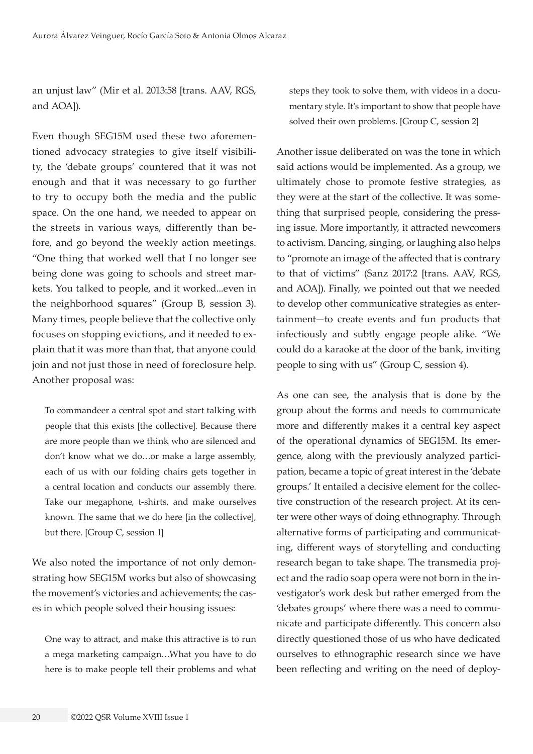an unjust law" (Mir et al. 2013:58 [trans. AAV, RGS, and AOA]).

Even though SEG15M used these two aforementioned advocacy strategies to give itself visibility, the 'debate groups' countered that it was not enough and that it was necessary to go further to try to occupy both the media and the public space. On the one hand, we needed to appear on the streets in various ways, differently than before, and go beyond the weekly action meetings. "One thing that worked well that I no longer see being done was going to schools and street markets. You talked to people, and it worked...even in the neighborhood squares" (Group B, session 3). Many times, people believe that the collective only focuses on stopping evictions, and it needed to explain that it was more than that, that anyone could join and not just those in need of foreclosure help. Another proposal was:

To commandeer a central spot and start talking with people that this exists [the collective]. Because there are more people than we think who are silenced and don't know what we do…or make a large assembly, each of us with our folding chairs gets together in a central location and conducts our assembly there. Take our megaphone, t-shirts, and make ourselves known. The same that we do here [in the collective], but there. [Group C, session 1]

We also noted the importance of not only demonstrating how SEG15M works but also of showcasing the movement's victories and achievements; the cases in which people solved their housing issues:

One way to attract, and make this attractive is to run a mega marketing campaign…What you have to do here is to make people tell their problems and what steps they took to solve them, with videos in a documentary style. It's important to show that people have solved their own problems. [Group C, session 2]

Another issue deliberated on was the tone in which said actions would be implemented. As a group, we ultimately chose to promote festive strategies, as they were at the start of the collective. It was something that surprised people, considering the pressing issue. More importantly, it attracted newcomers to activism. Dancing, singing, or laughing also helps to "promote an image of the affected that is contrary to that of victims" (Sanz 2017:2 [trans. AAV, RGS, and AOA]). Finally, we pointed out that we needed to develop other communicative strategies as entertainment—to create events and fun products that infectiously and subtly engage people alike. "We could do a karaoke at the door of the bank, inviting people to sing with us" (Group C, session 4).

As one can see, the analysis that is done by the group about the forms and needs to communicate more and differently makes it a central key aspect of the operational dynamics of SEG15M. Its emergence, along with the previously analyzed participation, became a topic of great interest in the 'debate groups.' It entailed a decisive element for the collective construction of the research project. At its center were other ways of doing ethnography. Through alternative forms of participating and communicating, different ways of storytelling and conducting research began to take shape. The transmedia project and the radio soap opera were not born in the investigator's work desk but rather emerged from the 'debates groups' where there was a need to communicate and participate differently. This concern also directly questioned those of us who have dedicated ourselves to ethnographic research since we have been reflecting and writing on the need of deploy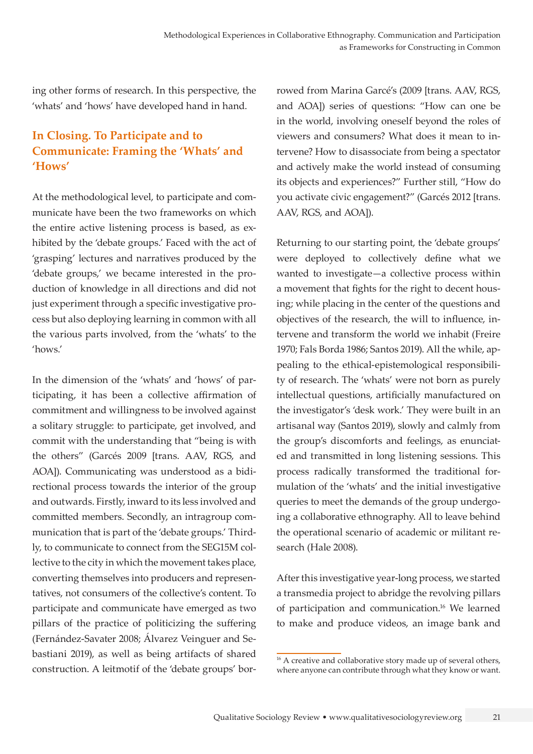ing other forms of research. In this perspective, the 'whats' and 'hows' have developed hand in hand.

# **In Closing. To Participate and to Communicate: Framing the 'Whats' and 'Hows'**

At the methodological level, to participate and communicate have been the two frameworks on which the entire active listening process is based, as exhibited by the 'debate groups.' Faced with the act of 'grasping' lectures and narratives produced by the 'debate groups,' we became interested in the production of knowledge in all directions and did not just experiment through a specific investigative process but also deploying learning in common with all the various parts involved, from the 'whats' to the 'hows.'

In the dimension of the 'whats' and 'hows' of participating, it has been a collective affirmation of commitment and willingness to be involved against a solitary struggle: to participate, get involved, and commit with the understanding that "being is with the others" (Garcés 2009 [trans. AAV, RGS, and AOA]). Communicating was understood as a bidirectional process towards the interior of the group and outwards. Firstly, inward to its less involved and committed members. Secondly, an intragroup communication that is part of the 'debate groups.' Thirdly, to communicate to connect from the SEG15M collective to the city in which the movement takes place, converting themselves into producers and representatives, not consumers of the collective's content. To participate and communicate have emerged as two pillars of the practice of politicizing the suffering (Fernández-Savater 2008; Álvarez Veinguer and Sebastiani 2019), as well as being artifacts of shared construction. A leitmotif of the 'debate groups' bor-

rowed from Marina Garcé's (2009 [trans. AAV, RGS, and AOA]) series of questions: "How can one be in the world, involving oneself beyond the roles of viewers and consumers? What does it mean to intervene? How to disassociate from being a spectator and actively make the world instead of consuming its objects and experiences?" Further still, "How do you activate civic engagement?" (Garcés 2012 [trans. AAV, RGS, and AOA]).

Returning to our starting point, the 'debate groups' were deployed to collectively define what we wanted to investigate—a collective process within a movement that fights for the right to decent housing; while placing in the center of the questions and objectives of the research, the will to influence, intervene and transform the world we inhabit (Freire 1970; Fals Borda 1986; Santos 2019). All the while, appealing to the ethical-epistemological responsibility of research. The 'whats' were not born as purely intellectual questions, artificially manufactured on the investigator's 'desk work.' They were built in an artisanal way (Santos 2019), slowly and calmly from the group's discomforts and feelings, as enunciated and transmitted in long listening sessions. This process radically transformed the traditional formulation of the 'whats' and the initial investigative queries to meet the demands of the group undergoing a collaborative ethnography. All to leave behind the operational scenario of academic or militant research (Hale 2008).

After this investigative year-long process, we started a transmedia project to abridge the revolving pillars of participation and communication.<sup>16</sup> We learned to make and produce videos, an image bank and

<sup>&</sup>lt;sup>16</sup> A creative and collaborative story made up of several others, where anyone can contribute through what they know or want.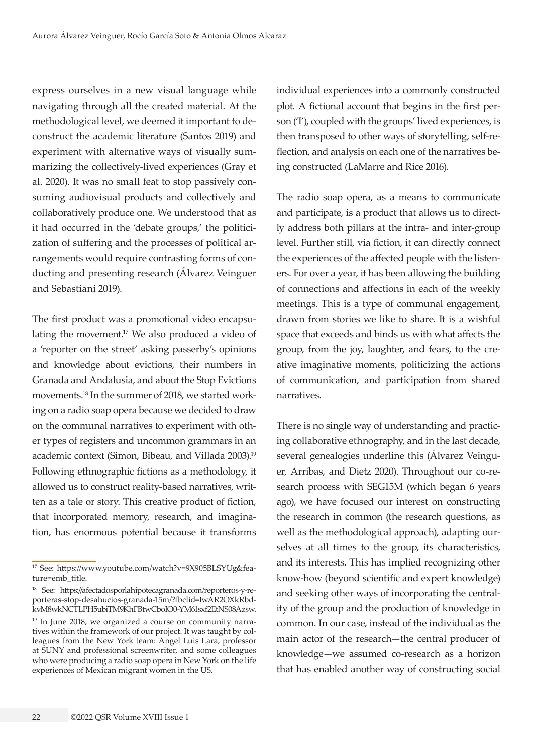express ourselves in a new visual language while navigating through all the created material. At the methodological level, we deemed it important to deconstruct the academic literature (Santos 2019) and experiment with alternative ways of visually summarizing the collectively-lived experiences (Gray et al. 2020). It was no small feat to stop passively consuming audiovisual products and collectively and collaboratively produce one. We understood that as it had occurred in the 'debate groups,' the politicization of suffering and the processes of political arrangements would require contrasting forms of conducting and presenting research (Álvarez Veinguer and Sebastiani 2019).

The first product was a promotional video encapsulating the movement.<sup>17</sup> We also produced a video of a 'reporter on the street' asking passerby's opinions and knowledge about evictions, their numbers in Granada and Andalusia, and about the Stop Evictions movements.18 In the summer of 2018, we started working on a radio soap opera because we decided to draw on the communal narratives to experiment with other types of registers and uncommon grammars in an academic context (Simon, Bibeau, and Villada 2003).19 Following ethnographic fictions as a methodology, it allowed us to construct reality-based narratives, written as a tale or story. This creative product of fiction, that incorporated memory, research, and imagination, has enormous potential because it transforms

individual experiences into a commonly constructed plot. A fictional account that begins in the first person ('I'), coupled with the groups' lived experiences, is then transposed to other ways of storytelling, self-reflection, and analysis on each one of the narratives being constructed (LaMarre and Rice 2016).

The radio soap opera, as a means to communicate and participate, is a product that allows us to directly address both pillars at the intra- and inter-group level. Further still, via fiction, it can directly connect the experiences of the affected people with the listeners. For over a year, it has been allowing the building of connections and affections in each of the weekly meetings. This is a type of communal engagement, drawn from stories we like to share. It is a wishful space that exceeds and binds us with what affects the group, from the joy, laughter, and fears, to the creative imaginative moments, politicizing the actions of communication, and participation from shared narratives.

There is no single way of understanding and practicing collaborative ethnography, and in the last decade, several genealogies underline this (Álvarez Veinguer, Arribas, and Dietz 2020). Throughout our co-research process with SEG15M (which began 6 years ago), we have focused our interest on constructing the research in common (the research questions, as well as the methodological approach), adapting ourselves at all times to the group, its characteristics, and its interests. This has implied recognizing other know-how (beyond scientific and expert knowledge) and seeking other ways of incorporating the centrality of the group and the production of knowledge in common. In our case, instead of the individual as the main actor of the research—the central producer of knowledge—we assumed co-research as a horizon that has enabled another way of constructing social

<sup>17</sup> See: https://www.youtube.com/watch?v=9X905BLSYUg&feature=emb\_title.

<sup>18</sup> See: [https://afectadosporlahipotecagranada.com/reporteros-y-re](https://afectadosporlahipotecagranada.com/reporteros-y-reporteras-stop-desahucios-granada-15m/?fbclid=IwAR2OXkRbdkvM8wkNCTLPH5ubiTM9KhFBtwCboIO0-YM61sxf2EtNS08Azsw)[porteras-stop-desahucios-granada-15m/?fbclid=IwAR2OXkRbd](https://afectadosporlahipotecagranada.com/reporteros-y-reporteras-stop-desahucios-granada-15m/?fbclid=IwAR2OXkRbdkvM8wkNCTLPH5ubiTM9KhFBtwCboIO0-YM61sxf2EtNS08Azsw)[kvM8wkNCTLPH5ubiTM9KhFBtwCboIO0-YM61sxf2EtNS08Azsw](https://afectadosporlahipotecagranada.com/reporteros-y-reporteras-stop-desahucios-granada-15m/?fbclid=IwAR2OXkRbdkvM8wkNCTLPH5ubiTM9KhFBtwCboIO0-YM61sxf2EtNS08Azsw). <sup>19</sup> In June 2018, we organized a course on community narratives within the framework of our project. It was taught by colleagues from the New York team: Angel Luis Lara, professor at SUNY and professional screenwriter, and some colleagues who were producing a radio soap opera in New York on the life experiences of Mexican migrant women in the US.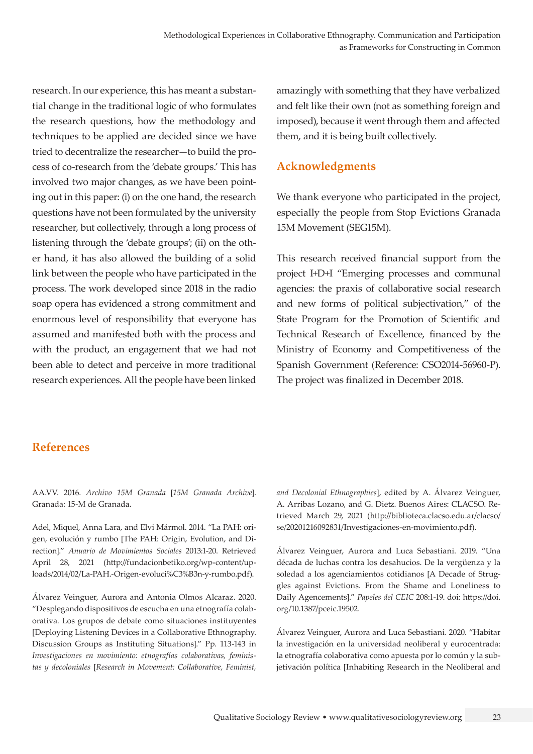research. In our experience, this has meant a substantial change in the traditional logic of who formulates the research questions, how the methodology and techniques to be applied are decided since we have tried to decentralize the researcher—to build the process of co-research from the 'debate groups.' This has involved two major changes, as we have been pointing out in this paper: (i) on the one hand, the research questions have not been formulated by the university researcher, but collectively, through a long process of listening through the 'debate groups'; (ii) on the other hand, it has also allowed the building of a solid link between the people who have participated in the process. The work developed since 2018 in the radio soap opera has evidenced a strong commitment and enormous level of responsibility that everyone has assumed and manifested both with the process and with the product, an engagement that we had not been able to detect and perceive in more traditional research experiences. All the people have been linked amazingly with something that they have verbalized and felt like their own (not as something foreign and imposed), because it went through them and affected them, and it is being built collectively.

### **Acknowledgments**

We thank everyone who participated in the project, especially the people from Stop Evictions Granada 15M Movement (SEG15M).

This research received financial support from the project I+D+I "Emerging processes and communal agencies: the praxis of collaborative social research and new forms of political subjectivation," of the State Program for the Promotion of Scientific and Technical Research of Excellence, financed by the Ministry of Economy and Competitiveness of the Spanish Government (Reference: CSO2014-56960-P). The project was finalized in December 2018.

### **References**

AA.VV. 2016. *Archivo 15M Granada* [*15M Granada Archive*]. Granada: 15-M de Granada.

Adel, Miquel, Anna Lara, and Elvi Mármol. 2014. "La PAH: origen, evolución y rumbo [The PAH: Origin, Evolution, and Direction]." *Anuario de Movimientos Sociales* 2013:1-20. Retrieved April 28, 2021 ([http://fundacionbetiko.org/wp-content/up](http://fundacionbetiko.org/wp-content/uploads/2014/02/La-PAH.-Origen-evoluci%C3%B3n-y-rumbo.pdf)[loads/2014/02/La-PAH.-Origen-evoluci%C3%B3n-y-rumbo.pdf\)](http://fundacionbetiko.org/wp-content/uploads/2014/02/La-PAH.-Origen-evoluci%C3%B3n-y-rumbo.pdf).

Álvarez Veinguer, Aurora and Antonia Olmos Alcaraz. 2020. "Desplegando dispositivos de escucha en una etnografía colaborativa. Los grupos de debate como situaciones instituyentes [Deploying Listening Devices in a Collaborative Ethnography. Discussion Groups as Instituting Situations]." Pp. 113-143 in *Investigaciones en movimiento: etnografías colaborativas, feministas y decoloniales* [*Research in Movement: Collaborative, Feminist,*  *and Decolonial Ethnographies*], edited by A. Álvarez Veinguer, A. Arribas Lozano, and G. Dietz. Buenos Aires: CLACSO. Retrieved March 29, 2021 ([http://biblioteca.clacso.edu.ar/clacso/](http://biblioteca.clacso.edu.ar/clacso/se/20201216092831/Investigaciones-en-movimiento.pdf)) [se/20201216092831/Investigaciones-en-movimiento.pdf\)](http://biblioteca.clacso.edu.ar/clacso/se/20201216092831/Investigaciones-en-movimiento.pdf)).

Álvarez Veinguer, Aurora and Luca Sebastiani. 2019. "Una década de luchas contra los desahucios. De la vergüenza y la soledad a los agenciamientos cotidianos [A Decade of Struggles against Evictions. From the Shame and Loneliness to Daily Agencements]." *Papeles del CEIC* 208:1-19. doi: [https://doi.](https://doi.org/10.1387/pceic.19502) [org/10.1387/pceic.19502.](https://doi.org/10.1387/pceic.19502)

Álvarez Veinguer, Aurora and Luca Sebastiani. 2020. "Habitar la investigación en la universidad neoliberal y eurocentrada: la etnografía colaborativa como apuesta por lo común y la subjetivación política [Inhabiting Research in the Neoliberal and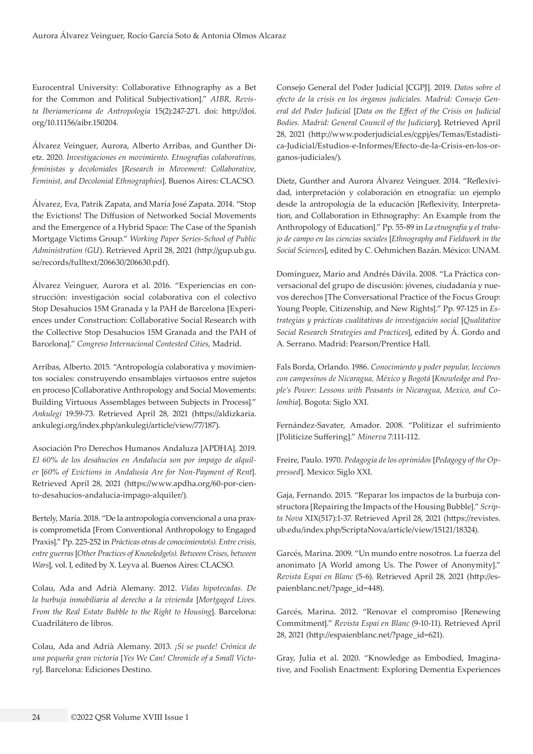Eurocentral University: Collaborative Ethnography as a Bet for the Common and Political Subjectivation]." *AIBR, Revista Iberiamericana de Antropología* 15(2):247-271. doi: [http://doi.](http://doi.org/10.11156/aibr.150204) [org/10.11156/aibr.150204](http://doi.org/10.11156/aibr.150204).

Álvarez Veinguer, Aurora, Alberto Arribas, and Gunther Dietz. 2020*. Investigaciones en movimiento. Etnografías colaborativas, feministas y decoloniales* [*Research in Movement: Collaborative, Feminist, and Decolonial Ethnographies*]. Buenos Aires: CLACSO.

Álvarez, Eva, Patrik Zapata, and María José Zapata. 2014. "Stop the Evictions! The Diffusion of Networked Social Movements and the Emergence of a Hybrid Space: The Case of the Spanish Mortgage Victims Group." *Working Paper Series-School of Public Administration (GU*). Retrieved April 28, 2021 ([http://gup.ub.gu.](http://gup.ub.gu.se/records/fulltext/206630/206630.pdf) [se/records/fulltext/206630/206630.pdf\)](http://gup.ub.gu.se/records/fulltext/206630/206630.pdf).

Álvarez Veinguer, Aurora et al. 2016. "Experiencias en construcción: investigación social colaborativa con el colectivo Stop Desahucios 15M Granada y la PAH de Barcelona [Experiences under Construction: Collaborative Social Research with the Collective Stop Desahucios 15M Granada and the PAH of Barcelona]." *Congreso Internacional Contested Cities*, Madrid.

Arribas, Alberto. 2015. "Antropología colaborativa y movimientos sociales: construyendo ensamblajes virtuosos entre sujetos en proceso [Collaborative Anthropology and Social Movements: Building Virtuous Assemblages between Subjects in Process]." *Ankulegi* 19:59-73. Retrieved April 28, 2021 ([https://aldizkaria.](https://aldizkaria.ankulegi.org/index.php/ankulegi/article/view/77/187) [ankulegi.org/index.php/ankulegi/article/view/77/187](https://aldizkaria.ankulegi.org/index.php/ankulegi/article/view/77/187)).

Asociación Pro Derechos Humanos Andaluza [APDHA]. 2019. *El 60% de los desahucios en Andalucía son por impago de alquiler* [*60% of Evictions in Andalusia Are for Non-Payment of Rent*]. Retrieved April 28, 2021 ([https://www.apdha.org/60-por-cien](https://www.apdha.org/60-por-ciento-desahucios-andalucia-impago-alquiler/)[to-desahucios-andalucia-impago-alquiler/\)](https://www.apdha.org/60-por-ciento-desahucios-andalucia-impago-alquiler/).

Bertely, María. 2018. "De la antropología convencional a una praxis comprometida [From Conventional Anthropology to Engaged Praxis]." Pp. 225-252 in *Prácticas otras de conocimiento(s). Entre crisis, entre guerras* [*Other Practices of Knowledge(s). Between Crises, between Wars*], vol. I, edited by X. Leyva al. Buenos Aires: CLACSO.

Colau, Ada and Adrià Alemany. 2012. *Vidas hipotecadas. De la burbuja inmobiliaria al derecho a la vivienda* [*Mortgaged Lives. From the Real Estate Bubble to the Right to Housing*]. Barcelona: Cuadrilátero de libros.

Colau, Ada and Adrià Alemany. 2013. *¡Sí se puede! Crónica de una pequeña gran victoria* [*Yes We Can! Chronicle of a Small Victory*]. Barcelona: Ediciones Destino.

Consejo General del Poder Judicial [CGPJ]. 2019. *Datos sobre el efecto de la crisis en los órganos judiciales. Madrid: Consejo General del Poder Judicial* [*Data on the Effect of the Crisis on Judicial Bodies. Madrid: General Council of the Judiciary*]. Retrieved April 28, 2021 ([http://www.poderjudicial.es/cgpj/es/Temas/Estadisti](http://www.poderjudicial.es/cgpj/es/Temas/Estadistica-Judicial/Estudios-e-Informes/Efecto-de-la-Crisis-en-los-organos-judiciales/)[ca-Judicial/Estudios-e-Informes/Efecto-de-la-Crisis-en-los-or](http://www.poderjudicial.es/cgpj/es/Temas/Estadistica-Judicial/Estudios-e-Informes/Efecto-de-la-Crisis-en-los-organos-judiciales/)[ganos-judiciales/\)](http://www.poderjudicial.es/cgpj/es/Temas/Estadistica-Judicial/Estudios-e-Informes/Efecto-de-la-Crisis-en-los-organos-judiciales/).

Dietz, Gunther and Aurora Álvarez Veinguer. 2014. "Reflexividad, interpretación y colaboración en etnografía: un ejemplo desde la antropología de la educación [Reflexivity, Interpretation, and Collaboration in Ethnography: An Example from the Anthropology of Education]." Pp. 55-89 in *La etnografía y el trabajo de campo en las ciencias sociales* [*Ethnography and Fieldwork in the Social Sciences*], edited by C. Oehmichen Bazán. México: UNAM.

Domínguez, Mario and Andrés Dávila. 2008. "La Práctica conversacional del grupo de discusión: jóvenes, ciudadanía y nuevos derechos [The Conversational Practice of the Focus Group: Young People, Citizenship, and New Rights]." Pp. 97-125 in *Estrategias y prácticas cualitativas de investigación social* [*Qualitative Social Research Strategies and Practices*], edited by Á. Gordo and A. Serrano. Madrid: Pearson/Prentice Hall.

Fals Borda, Orlando. 1986. *Conocimiento y poder popular, lecciones con campesinos de Nicaragua, México y Bogotá* [*Knowledge and People's Power: Lessons with Peasants in Nicaragua, Mexico, and Colombia*]. Bogota: Siglo XXI.

Fernández-Savater, Amador. 2008. "Politizar el sufrimiento [Politicize Suffering]." *Minerva* 7:111-112.

Freire, Paulo. 1970. *Pedagogía de los oprimidos* [*Pedagogy of the Oppressed*]. Mexico: Siglo XXI.

Gaja, Fernando. 2015. "Reparar los impactos de la burbuja constructora [Repairing the Impacts of the Housing Bubble]." *Scripta Nova* XIX(517):1-37. Retrieved April 28, 2021 ([https://revistes.](https://revistes.ub.edu/index.php/ScriptaNova/article/view/15121/18324) [ub.edu/index.php/ScriptaNova/article/view/15121/18324](https://revistes.ub.edu/index.php/ScriptaNova/article/view/15121/18324)).

Garcés, Marina. 2009. "Un mundo entre nosotros. La fuerza del anonimato [A World among Us. The Power of Anonymity]." *Revista Espai en Blanc* (5-6). Retrieved April 28, 2021 ([http://es](http://espaienblanc.net/?page_id=448)[paienblanc.net/?page\\_id=448](http://espaienblanc.net/?page_id=448)).

Garcés, Marina. 2012. "Renovar el compromiso [Renewing Commitment]." *Revista Espai en Blanc* (9-10-11). Retrieved April 28, 2021 ([http://espaienblanc.net/?page\\_id=621](http://espaienblanc.net/?page_id=621)).

Gray, Julia et al. 2020. "Knowledge as Embodied, Imaginative, and Foolish Enactment: Exploring Dementia Experiences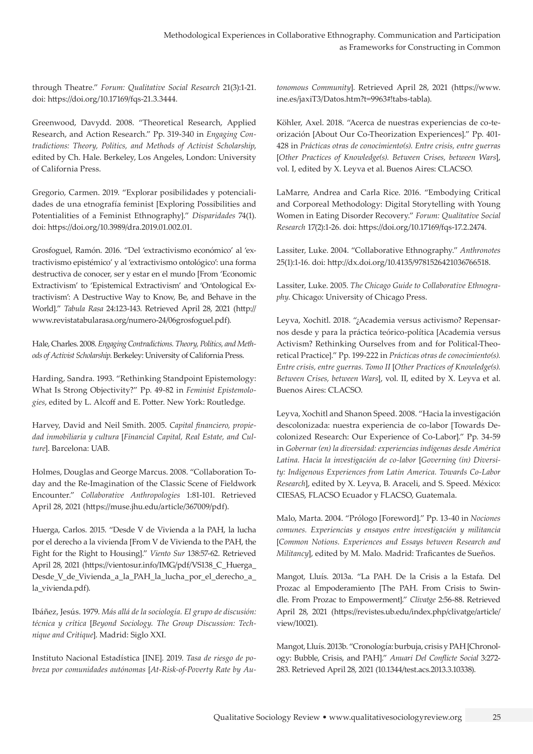through Theatre." *Forum: Qualitative Social Research* 21(3):1-21. doi: https://doi.org/10.17169/fqs-21.3.3444.

Greenwood, Davydd. 2008. "Theoretical Research, Applied Research, and Action Research." Pp. 319-340 in *Engaging Contradictions: Theory, Politics, and Methods of Activist Scholarship*, edited by Ch. Hale. Berkeley, Los Angeles, London: University of California Press.

Gregorio, Carmen. 2019. "Explorar posibilidades y potencialidades de una etnografía feminist [Exploring Possibilities and Potentialities of a Feminist Ethnography]." *Disparidades* 74(1). doi: https://doi.org/10.3989/dra.2019.01.002.01.

Grosfoguel, Ramón. 2016. "Del 'extractivismo económico' al 'extractivismo epistémico' y al 'extractivismo ontológico': una forma destructiva de conocer, ser y estar en el mundo [From 'Economic Extractivism' to 'Epistemical Extractivism' and 'Ontological Extractivism': A Destructive Way to Know, Be, and Behave in the World]." *Tabula Rasa* 24:123-143. Retrieved April 28, 2021 ([http://](http://www.revistatabularasa.org/numero-24/06grosfoguel.pdf) [www.revistatabularasa.org/numero-24/06grosfoguel.pdf\)](http://www.revistatabularasa.org/numero-24/06grosfoguel.pdf).

Hale, Charles. 2008. *Engaging Contradictions. Theory, Politics, and Methods of Activist Scholarship*. Berkeley: University of California Press.

Harding, Sandra. 1993. "Rethinking Standpoint Epistemology: What Is Strong Objectivity?" Pp. 49-82 in *Feminist Epistemologies*, edited by L. Alcoff and E. Potter. New York: Routledge.

Harvey, David and Neil Smith. 2005. *Capital financiero, propiedad inmobiliaria y cultura* [*Financial Capital, Real Estate, and Culture*]. Barcelona: UAB.

Holmes, Douglas and George Marcus. 2008. "Collaboration Today and the Re-Imagination of the Classic Scene of Fieldwork Encounter." *Collaborative Anthropologies* 1:81-101. Retrieved April 28, 2021 (<https://muse.jhu.edu/article/367009/pdf>).

Huerga, Carlos. 2015. "Desde V de Vivienda a la PAH, la lucha por el derecho a la vivienda [From V de Vivienda to the PAH, the Fight for the Right to Housing]." *Viento Sur* 138:57-62. Retrieved April 28, 2021 ([https://vientosur.info/IMG/pdf/VS138\\_C\\_Huerga\\_](https://vientosur.info/IMG/pdf/VS138_C_Huerga_Desde_V_de_Vivienda_a_la_PAH_la_lucha_por_el_derecho_a_la_vivienda.pdf) [Desde\\_V\\_de\\_Vivienda\\_a\\_la\\_PAH\\_la\\_lucha\\_por\\_el\\_derecho\\_a\\_](https://vientosur.info/IMG/pdf/VS138_C_Huerga_Desde_V_de_Vivienda_a_la_PAH_la_lucha_por_el_derecho_a_la_vivienda.pdf) [la\\_vivienda.pdf](https://vientosur.info/IMG/pdf/VS138_C_Huerga_Desde_V_de_Vivienda_a_la_PAH_la_lucha_por_el_derecho_a_la_vivienda.pdf)).

Ibáñez, Jesús. 1979. *Más allá de la sociología. El grupo de discusión: técnica y crítica* [*Beyond Sociology. The Group Discussion: Technique and Critique*]. Madrid: Siglo XXI.

Instituto Nacional Estadística [INE]. 2019. *Tasa de riesgo de pobreza por comunidades autónomas* [*At-Risk-of-Poverty Rate by Au-*

*tonomous Community*]. Retrieved April 28, 2021 ([https://www.](https://www.ine.es/jaxiT3/Datos.htm?t=9963#!tabs-tabla) [ine.es/jaxiT3/Datos.htm?t=9963#!tabs-tabla](https://www.ine.es/jaxiT3/Datos.htm?t=9963#!tabs-tabla)).

Köhler, Axel. 2018. "Acerca de nuestras experiencias de co-teorización [About Our Co-Theorization Experiences]." Pp. 401- 428 in *Prácticas otras de conocimiento(s). Entre crisis, entre guerras*  [*Other Practices of Knowledge(s). Between Crises, between Wars*], vol. I, edited by X. Leyva et al. Buenos Aires: CLACSO.

LaMarre, Andrea and Carla Rice. 2016. "Embodying Critical and Corporeal Methodology: Digital Storytelling with Young Women in Eating Disorder Recovery." *Forum: Qualitative Social Research* 17(2):1-26. doi: <https://doi.org/10.17169/fqs-17.2.2474>.

Lassiter, Luke. 2004. "Collaborative Ethnography." *Anthronotes* 25(1):1-16. doi: <http://dx.doi.org/10.4135/9781526421036766518>.

Lassiter, Luke. 2005. *The Chicago Guide to Collaborative Ethnography*. Chicago: University of Chicago Press.

Leyva, Xochitl. 2018. "¿Academia versus activismo? Repensarnos desde y para la práctica teórico-política [Academia versus Activism? Rethinking Ourselves from and for Political-Theoretical Practice]." Pp. 199-222 in *Prácticas otras de conocimiento(s). Entre crisis, entre guerras. Tomo II* [*Other Practices of Knowledge(s). Between Crises, between Wars*], vol. II, edited by X. Leyva et al. Buenos Aires: CLACSO.

Leyva, Xochitl and Shanon Speed. 2008. "Hacia la investigación descolonizada: nuestra experiencia de co-labor [Towards Decolonized Research: Our Experience of Co-Labor]." Pp. 34-59 in *Gobernar (en) la diversidad: experiencias indígenas desde América Latina. Hacia la investigación de co-labor* [*Governing (in) Diversity: Indigenous Experiences from Latin America. Towards Co-Labor Research*], edited by X. Leyva, B. Araceli, and S. Speed. México: CIESAS, FLACSO Ecuador y FLACSO, Guatemala.

Malo, Marta. 2004. "Prólogo [Foreword]." Pp. 13-40 in *Nociones comunes. Experiencias y ensayos entre investigación y militancia*  [*Common Notions. Experiences and Essays between Research and Militancy*], edited by M. Malo. Madrid: Traficantes de Sueños.

Mangot, Lluís. 2013a. "La PAH. De la Crisis a la Estafa. Del Prozac al Empoderamiento [The PAH. From Crisis to Swindle. From Prozac to Empowerment]." *Clivatge* 2:56-88. Retrieved April 28, 2021 ([https://revistes.ub.edu/index.php/clivatge/article/](https://revistes.ub.edu/index.php/clivatge/article/view/10021) [view/10021](https://revistes.ub.edu/index.php/clivatge/article/view/10021)).

Mangot, Lluís. 2013b. "Cronología: burbuja, crisis y PAH [Chronology: Bubble, Crisis, and PAH]." *Anuari Del Conflicte Social* 3:272- 283. Retrieved April 28, 2021 [\(10.1344/test.acs.2013.3.10338\)](https://revistes.ub.edu/index.php/ACS/article/view/10338).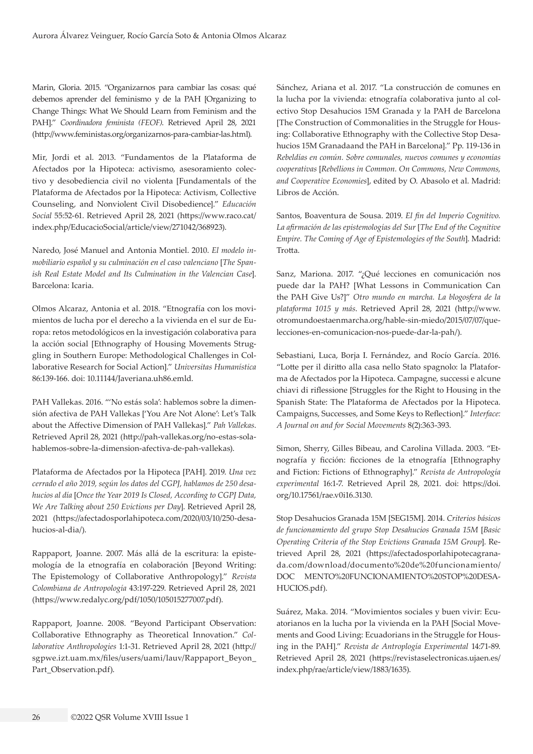Marin, Gloria. 2015. "Organizarnos para cambiar las cosas: qué debemos aprender del feminismo y de la PAH [Organizing to Change Things: What We Should Learn from Feminism and the PAH]." *Coordinadora feminista (FEOF)*. Retrieved April 28, 2021 (<http://www.feministas.org/organizarnos-para-cambiar-las.html>).

Mir, Jordi et al. 2013. "Fundamentos de la Plataforma de Afectados por la Hipoteca: activismo, asesoramiento colectivo y desobediencia civil no violenta [Fundamentals of the Plataforma de Afectados por la Hipoteca: Activism, Collective Counseling, and Nonviolent Civil Disobedience]." *Educación Social* 55:52-61. Retrieved April 28, 2021 ([https://www.raco.cat/](https://www.raco.cat/index.php/EducacioSocial/article/view/271042/368923) [index.php/EducacioSocial/article/view/271042/368923](https://www.raco.cat/index.php/EducacioSocial/article/view/271042/368923)).

Naredo, José Manuel and Antonia Montiel. 2010. *El modelo inmobiliario español y su culminación en el caso valenciano* [*The Spanish Real Estate Model and Its Culmination in the Valencian Case*]. Barcelona: Icaria.

Olmos Alcaraz, Antonia et al. 2018. "Etnografía con los movimientos de lucha por el derecho a la vivienda en el sur de Europa: retos metodológicos en la investigación colaborativa para la acción social [Ethnography of Housing Movements Struggling in Southern Europe: Methodological Challenges in Collaborative Research for Social Action]." *Universitas Humanística* 86:139-166. doi: [10.11144/Javeriana.uh86.emld.](https://doi.org/10.11144/Javeriana.uh86.emld)

PAH Vallekas. 2016. "'No estás sola': hablemos sobre la dimensión afectiva de PAH Vallekas ['You Are Not Alone': Let's Talk about the Affective Dimension of PAH Vallekas]." *Pah Vallekas*. Retrieved April 28, 2021 ([http://pah-vallekas.org/no-estas-sola](http://pah-vallekas.org/no-estas-sola-hablemos-sobre-la-dimension-afectiva-de-pah-vallekas)[hablemos-sobre-la-dimension-afectiva-de-pah-vallekas\)](http://pah-vallekas.org/no-estas-sola-hablemos-sobre-la-dimension-afectiva-de-pah-vallekas).

Plataforma de Afectados por la Hipoteca [PAH]. 2019. *Una vez cerrado el año 2019, según los datos del CGPJ, hablamos de 250 desahucios al día* [*Once the Year 2019 Is Closed, According to CGPJ Data, We Are Talking about 250 Evictions per Day*]. Retrieved April 28, 2021 ([https://afectadosporlahipoteca.com/2020/03/10/250-desa](https://afectadosporlahipoteca.com/2020/03/10/250-desahucios-al-dia/)[hucios-al-dia/\)](https://afectadosporlahipoteca.com/2020/03/10/250-desahucios-al-dia/).

Rappaport, Joanne. 2007. Más allá de la escritura: la epistemología de la etnografía en colaboración [Beyond Writing: The Epistemology of Collaborative Anthropology]." *Revista Colombiana de Antropología* 43:197-229. Retrieved April 28, 2021 (<https://www.redalyc.org/pdf/1050/105015277007.pdf>).

Rappaport, Joanne. 2008. "Beyond Participant Observation: Collaborative Ethnography as Theoretical Innovation." *Collaborative Anthropologies* 1:1-31. Retrieved April 28, 2021 ([http://](https://muse.jhu.edu/article/367015) [sgpwe.izt.uam.mx/files/users/uami/lauv/Rappaport\\_Beyon\\_](https://muse.jhu.edu/article/367015) [Part\\_Observation.pdf](https://muse.jhu.edu/article/367015)).

Sánchez, Ariana et al. 2017. "La construcción de comunes en la lucha por la vivienda: etnografía colaborativa junto al colectivo Stop Desahucios 15M Granada y la PAH de Barcelona [The Construction of Commonalities in the Struggle for Housing: Collaborative Ethnography with the Collective Stop Desahucios 15M Granadaand the PAH in Barcelona]." Pp. 119-136 in *Rebeldías en común. Sobre comunales, nuevos comunes y economías cooperativas* [*Rebellions in Common. On Commons, New Commons, and Cooperative Economies*], edited by O. Abasolo et al. Madrid: Libros de Acción.

Santos, Boaventura de Sousa. 2019. *El fin del Imperio Cognitivo. La afirmación de las epistemologías del Sur* [*The End of the Cognitive Empire. The Coming of Age of Epistemologies of the South*]. Madrid: Trotta.

Sanz, Mariona. 2017. "¿Qué lecciones en comunicación nos puede dar la PAH? [What Lessons in Communication Can the PAH Give Us?]" *Otro mundo en marcha. La blogosfera de la plataforma 1015 y más*. Retrieved April 28, 2021 ([http://www.](http://www.otromundoestaenmarcha.org/hable-sin-miedo/2015/07/07/que-lecciones-en-comunicacion-nos-puede-dar-la-pah/) [otromundoestaenmarcha.org/hable-sin-miedo/2015/07/07/que](http://www.otromundoestaenmarcha.org/hable-sin-miedo/2015/07/07/que-lecciones-en-comunicacion-nos-puede-dar-la-pah/)[lecciones-en-comunicacion-nos-puede-dar-la-pah/](http://www.otromundoestaenmarcha.org/hable-sin-miedo/2015/07/07/que-lecciones-en-comunicacion-nos-puede-dar-la-pah/)).

Sebastiani, Luca, Borja I. Fernández, and Rocío García. 2016. "Lotte per il diritto alla casa nello Stato spagnolo: la Plataforma de Afectados por la Hipoteca. Campagne, successi e alcune chiavi di riflessione [Struggles for the Right to Housing in the Spanish State: The Plataforma de Afectados por la Hipoteca. Campaigns, Successes, and Some Keys to Reflection]." *Interface: A Journal on and for Social Movements* 8(2):363-393.

Simon, Sherry, Gilles Bibeau, and Carolina Villada. 2003. "Etnografía y ficción: ficciones de la etnografía [Ethnography and Fiction: Fictions of Ethnography]." *Revista de Antropología experimental* 16:1-7. Retrieved April 28, 2021. doi: [https://doi.](https://doi.org/10.17561/rae.v0i16.3130) [org/10.17561/rae.v0i16.3130](https://doi.org/10.17561/rae.v0i16.3130).

Stop Desahucios Granada 15M [SEG15M]. 2014. *Criterios básicos de funcionamiento del grupo Stop Desahucios Granada 15M* [*Basic Operating Criteria of the Stop Evictions Granada 15M Group*]. Retrieved April 28, 2021 ([https://afectadosporlahipotecagrana](https://afectadosporlahipotecagranada.com/download/documento de funcionamiento/DOCUMENTO FUNCIONAMIENTO STOP DESAHUCIOS.pdf)[da.com/download/documento%20de%20funcionamiento/](https://afectadosporlahipotecagranada.com/download/documento de funcionamiento/DOCUMENTO FUNCIONAMIENTO STOP DESAHUCIOS.pdf) [DOC MENTO%20FUNCIONAMIENTO%20STOP%20DESA-](https://afectadosporlahipotecagranada.com/download/documento de funcionamiento/DOCUMENTO FUNCIONAMIENTO STOP DESAHUCIOS.pdf)[HUCIOS.pdf\)](https://afectadosporlahipotecagranada.com/download/documento de funcionamiento/DOCUMENTO FUNCIONAMIENTO STOP DESAHUCIOS.pdf).

Suárez, Maka. 2014. "Movimientos sociales y buen vivir: Ecuatorianos en la lucha por la vivienda en la PAH [Social Movements and Good Living: Ecuadorians in the Struggle for Housing in the PAH]." *Revista de Antroplogía Experimental* 14:71-89. Retrieved April 28, 2021 ([https://revistaselectronicas.ujaen.es/](https://revistaselectronicas.ujaen.es/index.php/rae/article/view/1883) [index.php/rae/article/view/1883/1635](https://revistaselectronicas.ujaen.es/index.php/rae/article/view/1883)).